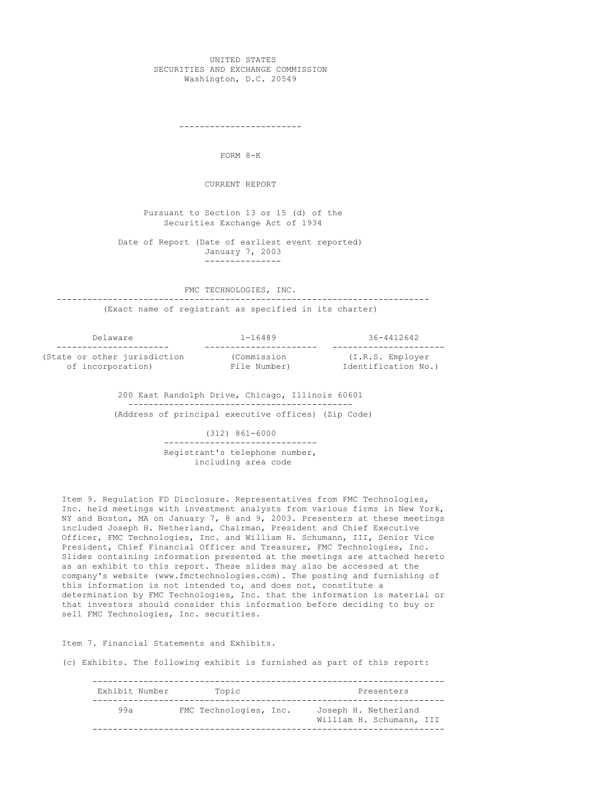#### UNITED STATES SECURITIES AND EXCHANGE COMMISSION Washington, D.C. 20549

------------------------

FORM 8-K

CURRENT REPORT

Pursuant to Section 13 or 15 (d) of the Securities Exchange Act of 1934

Date of Report (Date of earliest event reported) January 7, 2003 ---------------

FMC TECHNOLOGIES, INC.

------------------------------------------------------------------------- (Exact name of registrant as specified in its charter)

Delaware 1-16489 36-4412642 (State or other jurisdiction (Commission of incorporation) File Number)

---------------------- ---------------------- ---------------------- (I.R.S. Entries)<br>Identification No.)

200 East Randolph Drive, Chicago, Illinois 60601 -------------------------------------------- (Address of principal executive offices) (Zip Code)

> (312) 861-6000 ------------------------------ Registrant's telephone number, including area code

Item 9. Regulation FD Disclosure. Representatives from FMC Technologies, Inc. held meetings with investment analysts from various firms in New York, NY and Boston, MA on January 7, 8 and 9, 2003. Presenters at these meetings included Joseph H. Netherland, Chairman, President and Chief Executive Officer, FMC Technologies, Inc. and William H. Schumann, III, Senior Vice President, Chief Financial Officer and Treasurer, FMC Technologies, Inc. Slides containing information presented at the meetings are attached hereto as an exhibit to this report. These slides may also be accessed at the company's website (www.fmctechnologies.com). The posting and furnishing of this information is not intended to, and does not, constitute a determination by FMC Technologies, Inc. that the information is material or that investors should consider this information before deciding to buy or sell FMC Technologies, Inc. securities.

Item 7. Financial Statements and Exhibits.

(c) Exhibits. The following exhibit is furnished as part of this report:

| Exhibit Number | Topic                  | Presenters                                       |
|----------------|------------------------|--------------------------------------------------|
| 99a            | FMC Technologies, Inc. | Joseph H. Netherland<br>William H. Schumann, III |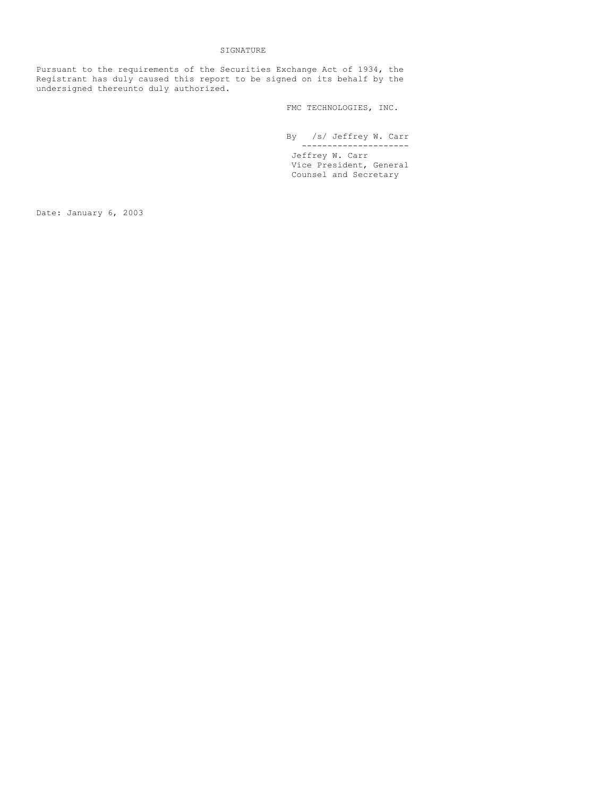# SIGNATURE

Pursuant to the requirements of the Securities Exchange Act of 1934, the Registrant has duly caused this report to be signed on its behalf by the undersigned thereunto duly authorized.

FMC TECHNOLOGIES, INC.

By /s/ Jeffrey W. Carr --------------------- Jeffrey W. Carr Vice President, General Counsel and Secretary

Date: January 6, 2003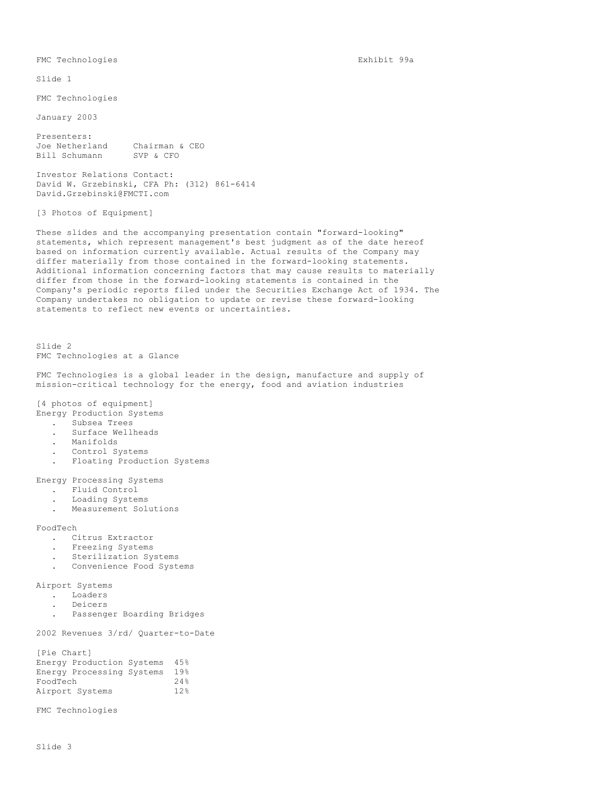FMC Technologies

January 2003

Presenters:<br>Joe Netherland Chairman & CEO<br>SVP & CFO Bill Schumann

Investor Relations Contact: David W. Grzebinski, CFA Ph: (312) 861-6414 David.Grzebinski@FMCTI.com

[3 Photos of Equipment]

These slides and the accompanying presentation contain "forward-looking" statements, which represent management's best judgment as of the date hereof based on information currently available. Actual results of the Company may differ materially from those contained in the forward-looking statements. Additional information concerning factors that may cause results to materially differ from those in the forward-looking statements is contained in the Company's periodic reports filed under the Securities Exchange Act of 1934. The Company undertakes no obligation to update or revise these forward-looking statements to reflect new events or uncertainties.

Slide 2 FMC Technologies at a Glance

FMC Technologies is a global leader in the design, manufacture and supply of mission-critical technology for the energy, food and aviation industries

[4 photos of equipment]

- Energy Production Systems
	- . Subsea Trees
	- . Surface Wellheads
	- . Manifolds
	- . Control Systems
	- . Floating Production Systems

Energy Processing Systems

- . Fluid Control
- . Loading Systems
- . Measurement Solutions

FoodTech

- . Citrus Extractor
- . Freezing Systems
- . Sterilization Systems
- . Convenience Food Systems

Airport Systems

- . Loaders
- . Deicers
- . Passenger Boarding Bridges

2002 Revenues 3/rd/ Quarter-to-Date

| [Pie Chart] |                           |      |
|-------------|---------------------------|------|
|             | Energy Production Systems | 4.5% |
|             | Energy Processing Systems | 19%  |
| FoodTech    |                           | 24%  |
|             | Airport Systems           | 12%  |

FMC Technologies

FMC Technologies Exhibit 99a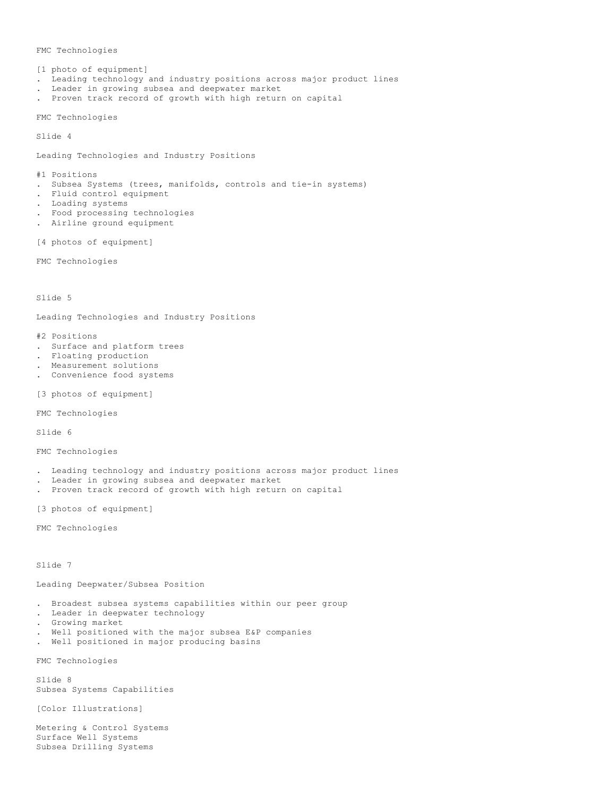#### FMC Technologies

[1 photo of equipment] . Leading technology and industry positions across major product lines . Leader in growing subsea and deepwater market

. Proven track record of growth with high return on capital

FMC Technologies

Slide 4

Leading Technologies and Industry Positions

#1 Positions

- . Subsea Systems (trees, manifolds, controls and tie-in systems)
- . Fluid control equipment
- . Loading systems
- . Food processing technologies
- . Airline ground equipment

[4 photos of equipment]

FMC Technologies

Slide 5

Leading Technologies and Industry Positions

- #2 Positions
- . Surface and platform trees
- . Floating production
- . Measurement solutions
- . Convenience food systems
- [3 photos of equipment]

FMC Technologies

Slide 6

FMC Technologies

- . Leading technology and industry positions across major product lines
- . Leader in growing subsea and deepwater market
- . Proven track record of growth with high return on capital

[3 photos of equipment]

FMC Technologies

Slide 7

Leading Deepwater/Subsea Position

- . Broadest subsea systems capabilities within our peer group
- . Leader in deepwater technology
- . Growing market
- . Well positioned with the major subsea E&P companies
- . Well positioned in major producing basins

FMC Technologies

Slide 8 Subsea Systems Capabilities

[Color Illustrations]

Metering & Control Systems Surface Well Systems Subsea Drilling Systems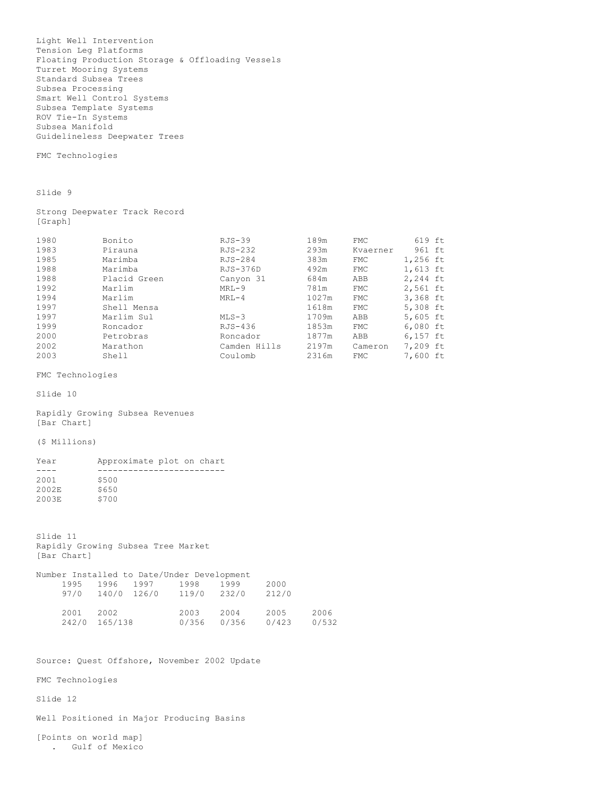Light Well Intervention Tension Leg Platforms Floating Production Storage & Offloading Vessels Turret Mooring Systems Standard Subsea Trees Subsea Processing Smart Well Control Systems Subsea Template Systems ROV Tie-In Systems Subsea Manifold Guidelineless Deepwater Trees

FMC Technologies

Slide 9

Strong Deepwater Track Record [Graph]

| 1980 | Bonito       | $RJS-39$     | 189m  | <b>FMC</b> | 619 ft   |  |
|------|--------------|--------------|-------|------------|----------|--|
| 1983 | Pirauna      | RJS-232      | 293m  | Kvaerner   | 961 ft   |  |
| 1985 | Marimba      | RJS-284      | 383m  | FMC        | 1,256 ft |  |
| 1988 | Marimba      | RJS-376D     | 492m  | FMC        | 1,613 ft |  |
| 1988 | Placid Green | Canyon 31    | 684m  | ABB        | 2,244 ft |  |
| 1992 | Marlim       | $MRL-9$      | 781m  | <b>FMC</b> | 2,561 ft |  |
| 1994 | Marlim       | $MRT - 4$    | 1027m | <b>FMC</b> | 3,368 ft |  |
| 1997 | Shell Mensa  |              | 1618m | <b>FMC</b> | 5,308 ft |  |
| 1997 | Marlim Sul   | $MLS-3$      | 1709m | ABB        | 5,605 ft |  |
| 1999 | Roncador     | RJS-436      | 1853m | <b>FMC</b> | 6,080 ft |  |
| 2000 | Petrobras    | Roncador     | 1877m | ABB        | 6,157 ft |  |
| 2002 | Marathon     | Camden Hills | 2197m | Cameron    | 7,209 ft |  |
| 2003 | Shell        | Coulomb      | 2316m | <b>FMC</b> | 7,600 ft |  |

FMC Technologies

Slide 10

Rapidly Growing Subsea Revenues [Bar Chart]

(\$ Millions)

| Year  | Approximate plot on chart |  |  |
|-------|---------------------------|--|--|
|       |                           |  |  |
| 2001  | \$500                     |  |  |
| 2002E | \$650                     |  |  |
| 2003E | S700                      |  |  |
|       |                           |  |  |

Slide 11 Rapidly Growing Subsea Tree Market [Bar Chart]

|      |               | Number Installed to Date/Under Development |       |       |       |       |
|------|---------------|--------------------------------------------|-------|-------|-------|-------|
| 1995 | 1996          | 1997                                       | 1998  | 1999  | 2000  |       |
| 97/0 | 140/0 126/0   |                                            | 119/0 | 232/0 | 212/0 |       |
| 2001 | 2002          |                                            | 2003  | 2004  | 2005  | 2006  |
|      | 242/0 165/138 |                                            | 0/356 | 0/356 | 0/423 | 0/532 |

Source: Quest Offshore, November 2002 Update

FMC Technologies

Slide 12

Well Positioned in Major Producing Basins

[Points on world map] . Gulf of Mexico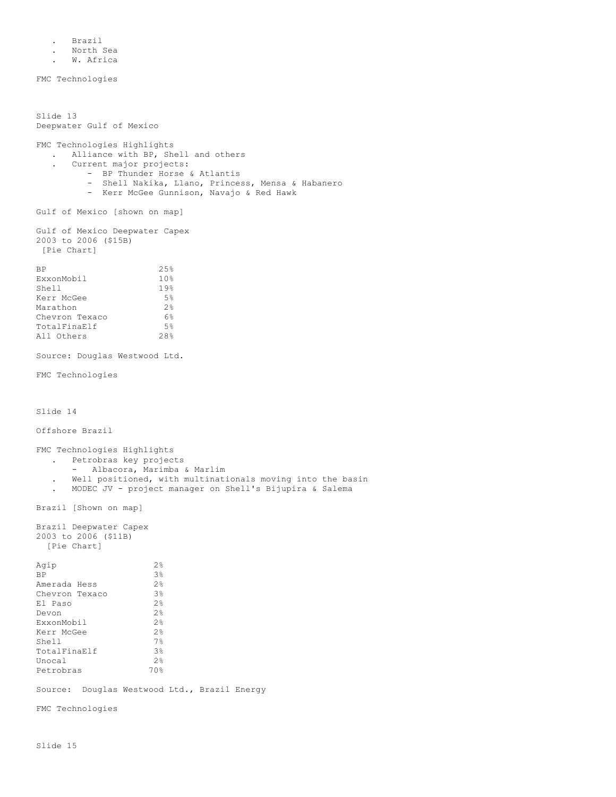. Brazil

- . North Sea
- . W. Africa

FMC Technologies

Slide 13 Deepwater Gulf of Mexico FMC Technologies Highlights . Alliance with BP, Shell and others . Current major projects: - BP Thunder Horse & Atlantis - Shell Nakika, Llano, Princess, Mensa & Habanero - Kerr McGee Gunnison, Navajo & Red Hawk Gulf of Mexico [shown on map] Gulf of Mexico Deepwater Capex 2003 to 2006 (\$15B) [Pie Chart]  $BP$  25% ExxonMobil 10% Shell 19% Kerr McGee 5%<br>Marathon 2% Marathon 2%<br>Chevron Texaco 6% Chevron Texaco 6%<br>
TotalFinaElf 5% TotalFinaElf 5%<br>All Others 28% All Others Source: Douglas Westwood Ltd. FMC Technologies Slide 14 Offshore Brazil FMC Technologies Highlights . Petrobras key projects - Albacora, Marimba & Marlim . Well positioned, with multinationals moving into the basin . MODEC JV - project manager on Shell's Bijupira & Salema Brazil [Shown on map] Brazil Deepwater Capex 2003 to 2006 (\$11B) [Pie Chart] Agip  $2\frac{8}{8}$ <br>BP  $3\frac{8}{8}$  $3%$ <br> $3%$ <br> $3%$ Amerada Hess Chevron Texaco 3%<br>El Paso 2% El Paso  $2\frac{8}{8}$ <br>
Devon  $2\frac{8}{8}$ <br>
ExxonMobil  $2\frac{8}{8}$ <br>
Kerr McGee  $2\frac{8}{8}$ Devon ExxonMobil 2% Kerr McGee 2%<br>Shell 7% Shell 7%<br>TotalFinaElf 7% TotalFinaElf 3% Unocal 2%<br>
Petrobras 2% 70% Petrobras Source: Douglas Westwood Ltd., Brazil Energy FMC Technologies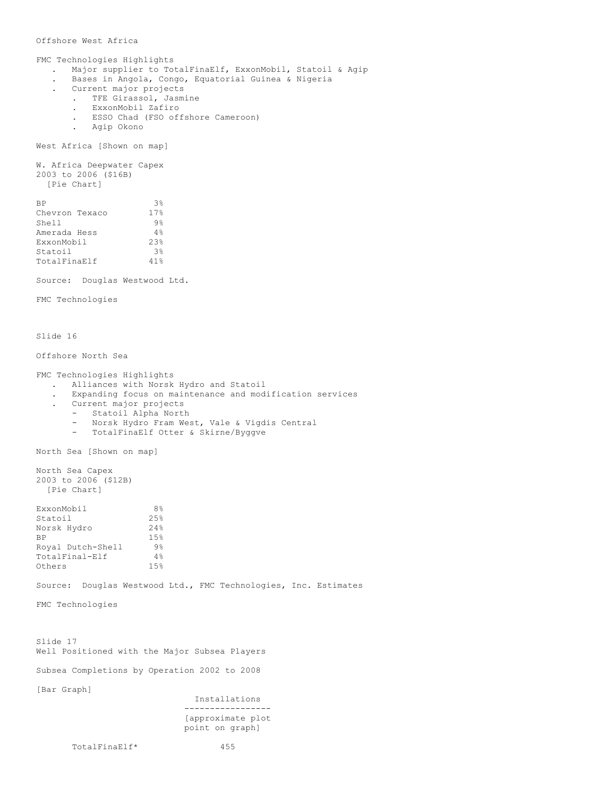## Offshore West Africa

FMC Technologies Highlights . Major supplier to TotalFinaElf, ExxonMobil, Statoil & Agip . Bases in Angola, Congo, Equatorial Guinea & Nigeria . Current major projects . TFE Girassol, Jasmine . ExxonMobil Zafiro . ESSO Chad (FSO offshore Cameroon) . Agip Okono West Africa [Shown on map] W. Africa Deepwater Capex 2003 to 2006 (\$16B) [Pie Chart]  $BP$  3% Chevron Texaco 17%<br>
Shell 9%<br>
Amerada Hess 4% Shell Amerada Hess 4%<br>ExxonMobil 23% ExxonMobil Statoil 3%<br>TotalFinaElf 41% TotalFinaElf 41% Source: Douglas Westwood Ltd. FMC Technologies Slide 16 Offshore North Sea FMC Technologies Highlights . Alliances with Norsk Hydro and Statoil . Expanding focus on maintenance and modification services . Current major projects - Statoil Alpha North - Norsk Hydro Fram West, Vale & Vigdis Central - TotalFinaElf Otter & Skirne/Byggve North Sea [Shown on map] North Sea Capex 2003 to 2006 (\$12B) [Pie Chart] ExxonMobil 8%<br>Statoil 25% Statoil Norsk Hydro 24% BP 15%<br>Royal Dutch-Shell 9%<br>TotalFinal-Elf 4% Royal Dutch-Shell TotalFinal-Elf 4%<br>Others 15% Others Source: Douglas Westwood Ltd., FMC Technologies, Inc. Estimates FMC Technologies Slide 17 Well Positioned with the Major Subsea Players Subsea Completions by Operation 2002 to 2008 [Bar Graph] Installations ----------------- [approximate plot point on graph]

TotalFinaElf\* 455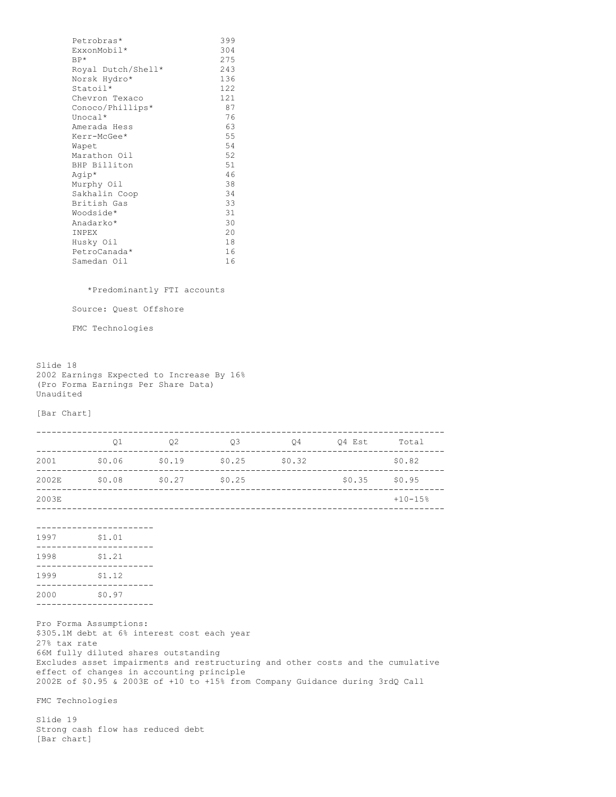| Petrobras*         | 399 |
|--------------------|-----|
| ExxonMobil*        | 304 |
| $BP*$              | 275 |
| Royal Dutch/Shell* | 243 |
| Norsk Hydro*       | 136 |
| Statoil*           | 122 |
| Chevron Texaco     | 121 |
| Conoco/Phillips*   | 87  |
| Unocal $*$         | 76  |
| Amerada Hess       | 63  |
| Kerr-McGee*        | 55  |
| Wapet              | 54  |
| Marathon Oil       | 52  |
| BHP Billiton       | 51  |
| Agip*              | 46  |
| Murphy Oil         | 38  |
| Sakhalin Coop      | 34  |
| British Gas        | 33  |
| Woodside*          | 31  |
| Anadarko*          | 30  |
| INPEX              | 20  |
| Husky Oil          | 18  |
| PetroCanada*       | 16  |
| Samedan Oil        | 16  |
|                    |     |

\*Predominantly FTI accounts

Source: Quest Offshore

FMC Technologies

Slide 18 2002 Earnings Expected to Increase By 16% (Pro Forma Earnings Per Share Data) Unaudited

[Bar Chart]

FMC Technologies

Slide 19 Strong cash flow has reduced debt [Bar chart]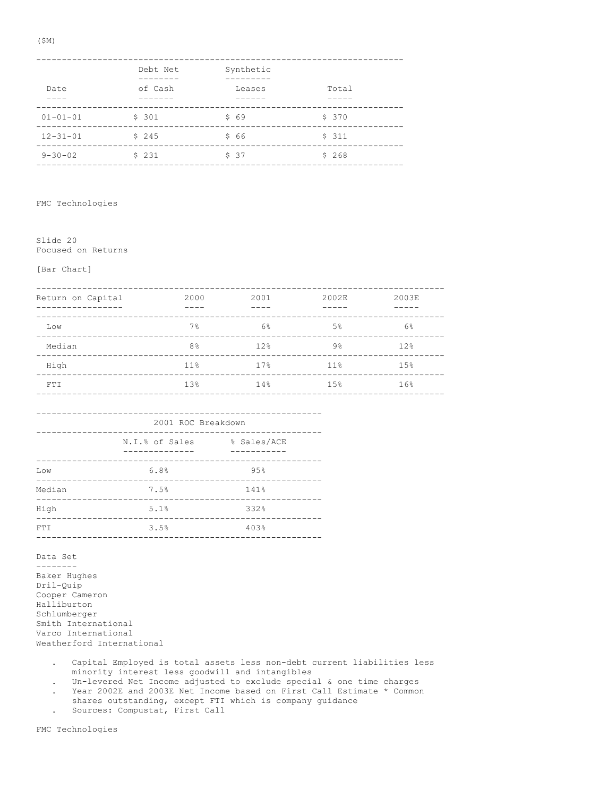| Date           | Debt Net<br>of Cash | Synthetic<br>Leases | Total |
|----------------|---------------------|---------------------|-------|
| $01 - 01 - 01$ | \$301               | \$69                | \$370 |
| $12 - 31 - 01$ | \$245               | \$66                | \$311 |
| $9 - 30 - 02$  | \$231               | \$37                | \$268 |

FMC Technologies

Slide 20 Focused on Returns

[Bar Chart]

| Return on Capital | 2000               | 2001 - 2001 - 2002 12:00 | 2002E                | 2003E           |
|-------------------|--------------------|--------------------------|----------------------|-----------------|
| Low               | 7%                 | $6\%$                    | $5\%$                | 6%              |
| Median            | 8 <sup>°</sup>     | 12%                      | 9%                   | 12 <sup>8</sup> |
| High              |                    |                          | $11\%$ $17\%$ $11\%$ | 1.5%            |
| FT T              |                    |                          | $13\%$ $14\%$ $15\%$ | 16%             |
|                   |                    |                          |                      |                 |
|                   | 2001 ROC Breakdown |                          |                      |                 |

| N.I.% of Sales | % Sales/ACE |
|----------------|-------------|
| 6.8%           | 95%         |
| 7.5%           | 141%        |
| 5.1%           | 332%        |
| 3.5%           | 403%        |
|                |             |

Data Set -------- Baker Hughes

Dril-Quip Cooper Cameron Halliburton Schlumberger Smith International Varco International Weatherford International

- . Capital Employed is total assets less non-debt current liabilities less minority interest less goodwill and intangibles
- . Un-levered Net Income adjusted to exclude special & one time charges
- . Year 2002E and 2003E Net Income based on First Call Estimate \* Common
- shares outstanding, except FTI which is company guidance
- . Sources: Compustat, First Call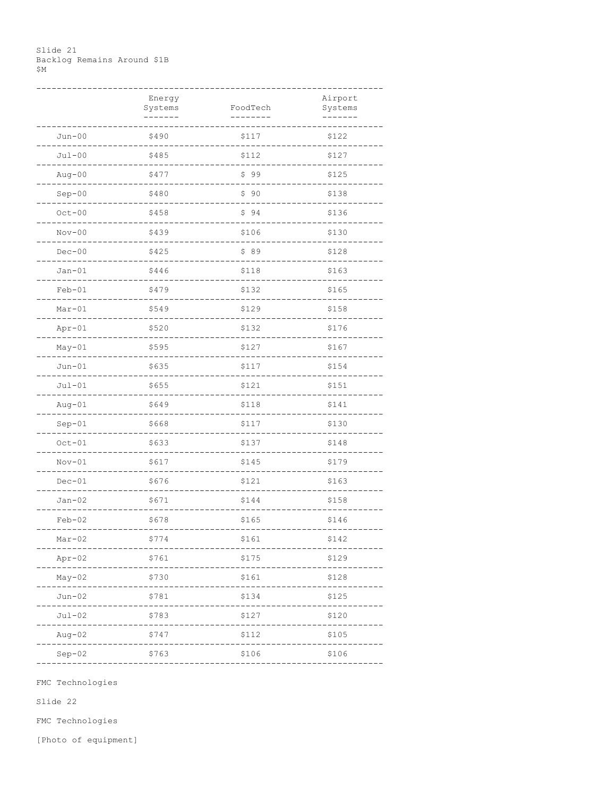### Slide 21 Backlog Remains Around \$1B \$Μ

|          | Energy<br>Systems | FoodTech | Airport<br>Systems |
|----------|-------------------|----------|--------------------|
| $Jun-00$ | \$490             | \$117    | \$122              |
| $Jul-00$ | \$485             | \$112    | \$127              |
| $Aug-00$ | \$477             | \$99     | \$125              |
| $Sep-00$ | \$480             | \$90     | \$138              |
| $Oct-00$ | \$458             | \$94     | \$136              |
| $Nov-00$ | \$439             | \$106    | \$130              |
| $Dec-00$ | \$425             | \$89     | \$128              |
| $Jan-01$ | \$446             | \$118    | \$163              |
| $Feb-01$ | \$479             | \$132    | $$165$             |
| $Mar-01$ | \$549             | \$129    | \$158              |
| $Apr-01$ | \$520             | \$132    | \$176              |
| $May-01$ | \$595             | \$127    | \$167              |
| $Jun-01$ | \$635             | \$117    | \$154              |
| $Jul-01$ | \$655             | \$121    | \$151              |
| $Aug-01$ | \$649             | \$118    | \$141              |
| $Sep-01$ | \$668             | \$117    | \$130              |
| $Oct-01$ | \$633             | \$137    | \$148              |
| $Nov-01$ | \$617             | \$145    | \$179              |
| $Dec-01$ | \$676             | \$121    | \$163              |
| $Jan-02$ | \$671             | \$144    | \$158              |
| $Feb-02$ | \$678             | \$165    | \$146              |
| Mar-uz   | Ş774              | ATPT     | うしすく               |
| $Apr-02$ | \$761             | \$175    | \$129              |
| $May-02$ | \$730             | \$161    | \$128              |
| $Jun-02$ | \$781             | \$134    | \$125              |
| $Jul-02$ | \$783             | \$127    | \$120              |
| $Aug-02$ | \$747             | \$112    | \$105              |
| $Sep-02$ | \$763             | \$106    | \$106              |

FMC Technologies

Slide 22

FMC Technologies

[Photo of equipment]